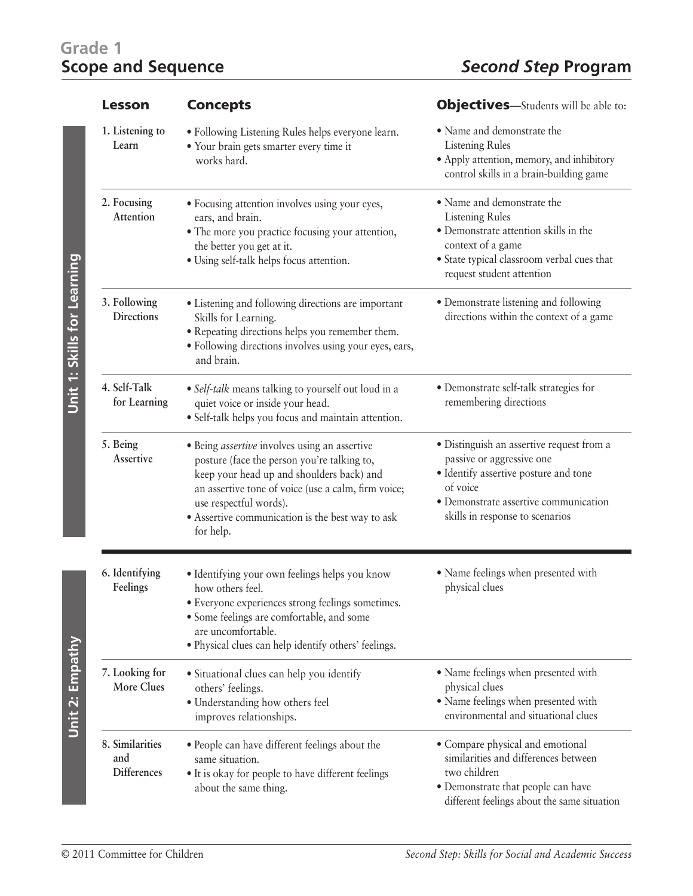## **Grade 1**

| <b>Lesson</b>                                                    | <b>Concepts</b>                                                                                                                                                                                                                                                                                    | <b>Objectives</b> —Students will be able to:                                                                                                                                                            |
|------------------------------------------------------------------|----------------------------------------------------------------------------------------------------------------------------------------------------------------------------------------------------------------------------------------------------------------------------------------------------|---------------------------------------------------------------------------------------------------------------------------------------------------------------------------------------------------------|
| 1. Listening to<br>Learn                                         | · Following Listening Rules helps everyone learn.<br>· Your brain gets smarter every time it<br>works hard.                                                                                                                                                                                        | • Name and demonstrate the<br><b>Listening Rules</b><br>• Apply attention, memory, and inhibitory<br>control skills in a brain-building game                                                            |
| 2. Focusing<br>Attention                                         | · Focusing attention involves using your eyes,<br>ears, and brain.<br>• The more you practice focusing your attention,<br>the better you get at it.<br>· Using self-talk helps focus attention.                                                                                                    | • Name and demonstrate the<br><b>Listening Rules</b><br>· Demonstrate attention skills in the<br>context of a game<br>• State typical classroom verbal cues that<br>request student attention           |
| Unit 1: Skills for Learning<br>3. Following<br><b>Directions</b> | • Listening and following directions are important<br>Skills for Learning.<br>· Repeating directions helps you remember them.<br>· Following directions involves using your eyes, ears,<br>and brain.                                                                                              | • Demonstrate listening and following<br>directions within the context of a game                                                                                                                        |
| 4. Self-Talk<br>for Learning                                     | · Self-talk means talking to yourself out loud in a<br>quiet voice or inside your head.<br>· Self-talk helps you focus and maintain attention.                                                                                                                                                     | • Demonstrate self-talk strategies for<br>remembering directions                                                                                                                                        |
| 5. Being<br>Assertive                                            | · Being <i>assertive</i> involves using an assertive<br>posture (face the person you're talking to,<br>keep your head up and shoulders back) and<br>an assertive tone of voice (use a calm, firm voice;<br>use respectful words).<br>• Assertive communication is the best way to ask<br>for help. | · Distinguish an assertive request from a<br>passive or aggressive one<br>· Identify assertive posture and tone<br>of voice<br>· Demonstrate assertive communication<br>skills in response to scenarios |
| 6. Identifying<br>Feelings                                       | · Identifying your own feelings helps you know<br>how others feel.<br>· Everyone experiences strong feelings sometimes.<br>· Some feelings are comfortable, and some<br>are uncomfortable.<br>· Physical clues can help identify others' feelings.                                                 | • Name feelings when presented with<br>physical clues                                                                                                                                                   |
| Unit 2: Empathy<br>7. Looking for<br><b>More Clues</b>           | • Situational clues can help you identify<br>others' feelings.<br>· Understanding how others feel<br>improves relationships.                                                                                                                                                                       | • Name feelings when presented with<br>physical clues<br>· Name feelings when presented with<br>environmental and situational clues                                                                     |
| 8. Similarities<br>and<br><b>Differences</b>                     | • People can have different feelings about the<br>same situation.<br>· It is okay for people to have different feelings<br>about the same thing.                                                                                                                                                   | • Compare physical and emotional<br>similarities and differences between<br>two children<br>• Demonstrate that people can have<br>different feelings about the same situation                           |

Unit 2: Empathy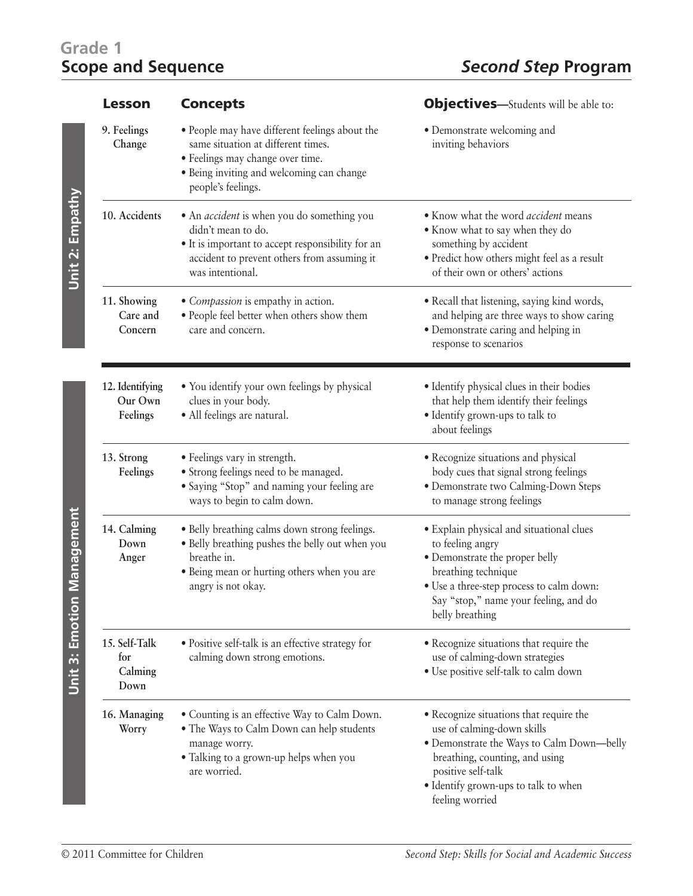## **Grade 1**

| <b>Lesson</b>                           | <b>Concepts</b>                                                                                                                                                                                 | <b>Objectives</b> —Students will be able to:                                                                                                                                                                                          |
|-----------------------------------------|-------------------------------------------------------------------------------------------------------------------------------------------------------------------------------------------------|---------------------------------------------------------------------------------------------------------------------------------------------------------------------------------------------------------------------------------------|
| 9. Feelings<br>Change                   | • People may have different feelings about the<br>same situation at different times.<br>· Feelings may change over time.<br>• Being inviting and welcoming can change<br>people's feelings.     | • Demonstrate welcoming and<br>inviting behaviors                                                                                                                                                                                     |
| 10. Accidents                           | • An <i>accident</i> is when you do something you<br>didn't mean to do.<br>• It is important to accept responsibility for an<br>accident to prevent others from assuming it<br>was intentional. | • Know what the word accident means<br>• Know what to say when they do<br>something by accident<br>· Predict how others might feel as a result<br>of their own or others' actions                                                     |
| 11. Showing<br>Care and<br>Concern      | • Compassion is empathy in action.<br>· People feel better when others show them<br>care and concern.                                                                                           | • Recall that listening, saying kind words,<br>and helping are three ways to show caring<br>· Demonstrate caring and helping in<br>response to scenarios                                                                              |
| 12. Identifying<br>Our Own<br>Feelings  | • You identify your own feelings by physical<br>clues in your body.<br>· All feelings are natural.                                                                                              | • Identify physical clues in their bodies<br>that help them identify their feelings<br>· Identify grown-ups to talk to<br>about feelings                                                                                              |
| 13. Strong<br>Feelings                  | • Feelings vary in strength.<br>• Strong feelings need to be managed.<br>• Saying "Stop" and naming your feeling are<br>ways to begin to calm down.                                             | • Recognize situations and physical<br>body cues that signal strong feelings<br>· Demonstrate two Calming-Down Steps<br>to manage strong feelings                                                                                     |
| 14. Calming<br>Down<br>Anger            | • Belly breathing calms down strong feelings.<br>• Belly breathing pushes the belly out when you<br>breathe in.<br>· Being mean or hurting others when you are<br>angry is not okay.            | • Explain physical and situational clues<br>to feeling angry<br>• Demonstrate the proper belly<br>breathing technique<br>• Use a three-step process to calm down:<br>Say "stop," name your feeling, and do<br>belly breathing         |
| 15. Self-Talk<br>for<br>Calming<br>Down | • Positive self-talk is an effective strategy for<br>calming down strong emotions.                                                                                                              | • Recognize situations that require the<br>use of calming-down strategies<br>• Use positive self-talk to calm down                                                                                                                    |
| 16. Managing<br>Worry                   | · Counting is an effective Way to Calm Down.<br>• The Ways to Calm Down can help students<br>manage worry.<br>• Talking to a grown-up helps when you<br>are worried.                            | • Recognize situations that require the<br>use of calming-down skills<br>· Demonstrate the Ways to Calm Down-belly<br>breathing, counting, and using<br>positive self-talk<br>• Identify grown-ups to talk to when<br>feeling worried |